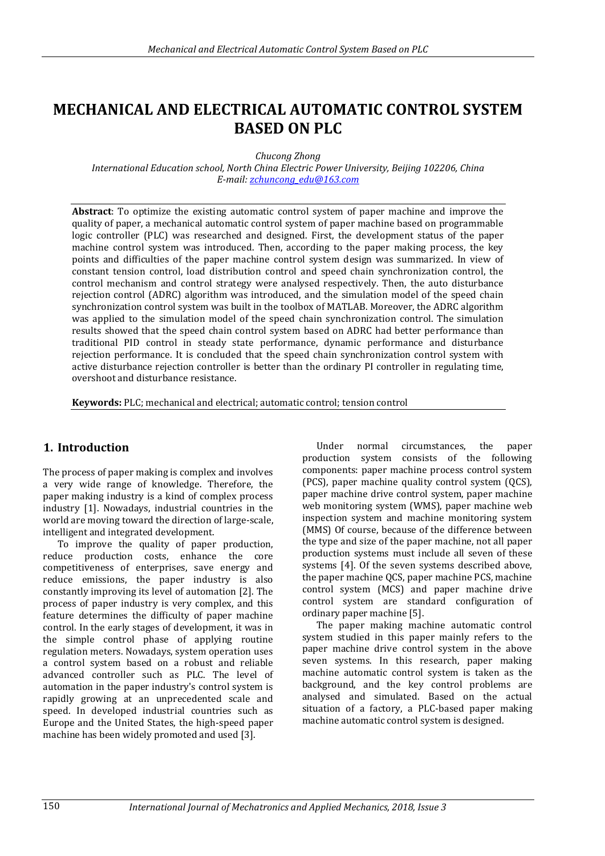# **MECHANICAL AND ELECTRICAL AUTOMATIC CONTROL SYSTEM BASED ON PLC**

*Chucong Zhong*

*International Education school, North China Electric Power University, Beijing 102206, China E-mail: [zchuncong\\_edu@163.com](mailto:zchuncong_edu@163.com)* 

**Abstract**: To optimize the existing automatic control system of paper machine and improve the quality of paper, a mechanical automatic control system of paper machine based on programmable logic controller (PLC) was researched and designed. First, the development status of the paper machine control system was introduced. Then, according to the paper making process, the key points and difficulties of the paper machine control system design was summarized. In view of constant tension control, load distribution control and speed chain synchronization control, the control mechanism and control strategy were analysed respectively. Then, the auto disturbance rejection control (ADRC) algorithm was introduced, and the simulation model of the speed chain synchronization control system was built in the toolbox of MATLAB. Moreover, the ADRC algorithm was applied to the simulation model of the speed chain synchronization control. The simulation results showed that the speed chain control system based on ADRC had better performance than traditional PID control in steady state performance, dynamic performance and disturbance rejection performance. It is concluded that the speed chain synchronization control system with active disturbance rejection controller is better than the ordinary PI controller in regulating time, overshoot and disturbance resistance.

**Keywords:** PLC; mechanical and electrical; automatic control; tension control

# **1. Introduction**

The process of paper making is complex and involves a very wide range of knowledge. Therefore, the paper making industry is a kind of complex process industry [1]. Nowadays, industrial countries in the world are moving toward the direction of large-scale, intelligent and integrated development.

To improve the quality of paper production, reduce production costs, enhance the core competitiveness of enterprises, save energy and reduce emissions, the paper industry is also constantly improving its level of automation [2]. The process of paper industry is very complex, and this feature determines the difficulty of paper machine control. In the early stages of development, it was in the simple control phase of applying routine regulation meters. Nowadays, system operation uses a control system based on a robust and reliable advanced controller such as PLC. The level of automation in the paper industry's control system is rapidly growing at an unprecedented scale and speed. In developed industrial countries such as Europe and the United States, the high-speed paper machine has been widely promoted and used [3].

Under normal circumstances, the paper production system consists of the following components: paper machine process control system (PCS), paper machine quality control system (QCS), paper machine drive control system, paper machine web monitoring system (WMS), paper machine web inspection system and machine monitoring system (MMS) Of course, because of the difference between the type and size of the paper machine, not all paper production systems must include all seven of these systems [4]. Of the seven systems described above, the paper machine QCS, paper machine PCS, machine control system (MCS) and paper machine drive control system are standard configuration of ordinary paper machine [5].

The paper making machine automatic control system studied in this paper mainly refers to the paper machine drive control system in the above seven systems. In this research, paper making machine automatic control system is taken as the background, and the key control problems are analysed and simulated. Based on the actual situation of a factory, a PLC-based paper making machine automatic control system is designed.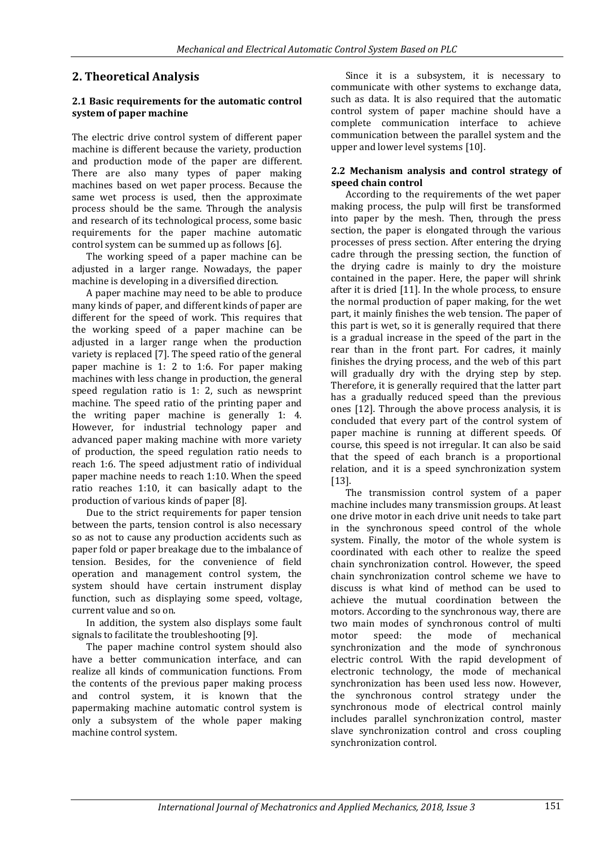# **2. Theoretical Analysis**

### **2.1 Basic requirements for the automatic control system of paper machine**

The electric drive control system of different paper machine is different because the variety, production and production mode of the paper are different. There are also many types of paper making machines based on wet paper process. Because the same wet process is used, then the approximate process should be the same. Through the analysis and research of its technological process, some basic requirements for the paper machine automatic control system can be summed up as follows [6].

The working speed of a paper machine can be adjusted in a larger range. Nowadays, the paper machine is developing in a diversified direction.

A paper machine may need to be able to produce many kinds of paper, and different kinds of paper are different for the speed of work. This requires that the working speed of a paper machine can be adjusted in a larger range when the production variety is replaced [7]. The speed ratio of the general paper machine is 1: 2 to 1:6. For paper making machines with less change in production, the general speed regulation ratio is 1: 2, such as newsprint machine. The speed ratio of the printing paper and the writing paper machine is generally 1: 4. However, for industrial technology paper and advanced paper making machine with more variety of production, the speed regulation ratio needs to reach 1:6. The speed adjustment ratio of individual paper machine needs to reach 1:10. When the speed ratio reaches 1:10, it can basically adapt to the production of various kinds of paper [8].

Due to the strict requirements for paper tension between the parts, tension control is also necessary so as not to cause any production accidents such as paper fold or paper breakage due to the imbalance of tension. Besides, for the convenience of field operation and management control system, the system should have certain instrument display function, such as displaying some speed, voltage, current value and so on.

In addition, the system also displays some fault signals to facilitate the troubleshooting [9].

The paper machine control system should also have a better communication interface, and can realize all kinds of communication functions. From the contents of the previous paper making process and control system, it is known that the papermaking machine automatic control system is only a subsystem of the whole paper making machine control system.

Since it is a subsystem, it is necessary to communicate with other systems to exchange data, such as data. It is also required that the automatic control system of paper machine should have a complete communication interface to achieve communication between the parallel system and the upper and lower level systems [10].

### **2.2 Mechanism analysis and control strategy of speed chain control**

According to the requirements of the wet paper making process, the pulp will first be transformed into paper by the mesh. Then, through the press section, the paper is elongated through the various processes of press section. After entering the drying cadre through the pressing section, the function of the drying cadre is mainly to dry the moisture contained in the paper. Here, the paper will shrink after it is dried [11]. In the whole process, to ensure the normal production of paper making, for the wet part, it mainly finishes the web tension. The paper of this part is wet, so it is generally required that there is a gradual increase in the speed of the part in the rear than in the front part. For cadres, it mainly finishes the drying process, and the web of this part will gradually dry with the drying step by step. Therefore, it is generally required that the latter part has a gradually reduced speed than the previous ones [12]. Through the above process analysis, it is concluded that every part of the control system of paper machine is running at different speeds. Of course, this speed is not irregular. It can also be said that the speed of each branch is a proportional relation, and it is a speed synchronization system [13].

The transmission control system of a paper machine includes many transmission groups. At least one drive motor in each drive unit needs to take part in the synchronous speed control of the whole system. Finally, the motor of the whole system is coordinated with each other to realize the speed chain synchronization control. However, the speed chain synchronization control scheme we have to discuss is what kind of method can be used to achieve the mutual coordination between the motors. According to the synchronous way, there are two main modes of synchronous control of multi motor speed: the mode of mechanical synchronization and the mode of synchronous electric control. With the rapid development of electronic technology, the mode of mechanical synchronization has been used less now. However, the synchronous control strategy under the synchronous mode of electrical control mainly includes parallel synchronization control, master slave synchronization control and cross coupling synchronization control.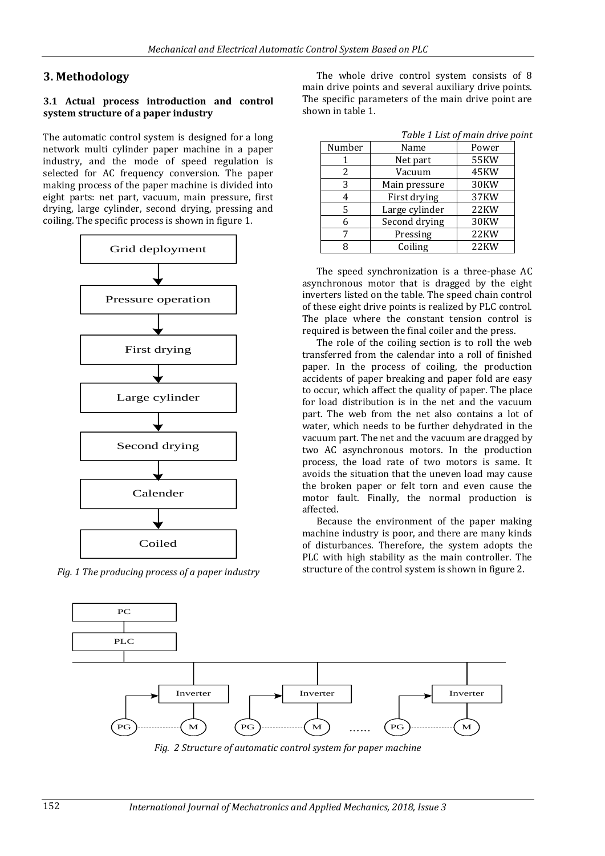# **3. Methodology**

#### **3.1 Actual process introduction and control system structure of a paper industry**

The automatic control system is designed for a long network multi cylinder paper machine in a paper industry, and the mode of speed regulation is selected for AC frequency conversion. The paper making process of the paper machine is divided into eight parts: net part, vacuum, main pressure, first drying, large cylinder, second drying, pressing and coiling. The specific process is shown in figure 1.



*Fig. 1 The producing process of a paper industry*

The whole drive control system consists of 8 main drive points and several auxiliary drive points. The specific parameters of the main drive point are shown in table 1.

| Number | Name           | Power       |
|--------|----------------|-------------|
|        | Net part       | <b>55KW</b> |
| 2      | Vacuum         | 45KW        |
| 3      | Main pressure  | 30KW        |
|        | First drying   | 37KW        |
| 5      | Large cylinder | 22KW        |
| 6      | Second drying  | 30KW        |
|        | Pressing       | 22KW        |
|        | Coiling        | 22KW        |

The speed synchronization is a three-phase AC asynchronous motor that is dragged by the eight inverters listed on the table. The speed chain control of these eight drive points is realized by PLC control. The place where the constant tension control is required is between the final coiler and the press.

The role of the coiling section is to roll the web transferred from the calendar into a roll of finished paper. In the process of coiling, the production accidents of paper breaking and paper fold are easy to occur, which affect the quality of paper. The place for load distribution is in the net and the vacuum part. The web from the net also contains a lot of water, which needs to be further dehydrated in the vacuum part. The net and the vacuum are dragged by two AC asynchronous motors. In the production process, the load rate of two motors is same. It avoids the situation that the uneven load may cause the broken paper or felt torn and even cause the motor fault. Finally, the normal production is affected.

Because the environment of the paper making machine industry is poor, and there are many kinds of disturbances. Therefore, the system adopts the PLC with high stability as the main controller. The structure of the control system is shown in figure 2.



*Fig. 2 Structure of automatic control system for paper machine*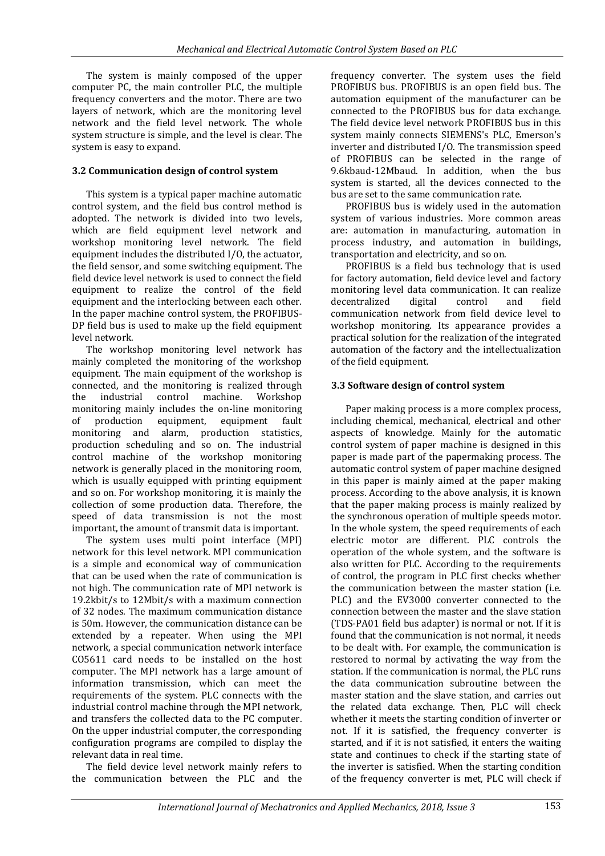The system is mainly composed of the upper computer PC, the main controller PLC, the multiple frequency converters and the motor. There are two layers of network, which are the monitoring level network and the field level network. The whole system structure is simple, and the level is clear. The system is easy to expand.

### **3.2 Communication design of control system**

This system is a typical paper machine automatic control system, and the field bus control method is adopted. The network is divided into two levels, which are field equipment level network and workshop monitoring level network. The field equipment includes the distributed I/O, the actuator, the field sensor, and some switching equipment. The field device level network is used to connect the field equipment to realize the control of the field equipment and the interlocking between each other. In the paper machine control system, the PROFIBUS-DP field bus is used to make up the field equipment level network.

The workshop monitoring level network has mainly completed the monitoring of the workshop equipment. The main equipment of the workshop is connected, and the monitoring is realized through the industrial control machine. Workshop monitoring mainly includes the on-line monitoring of production equipment, equipment fault monitoring and alarm, production statistics, production scheduling and so on. The industrial control machine of the workshop monitoring network is generally placed in the monitoring room, which is usually equipped with printing equipment and so on. For workshop monitoring, it is mainly the collection of some production data. Therefore, the speed of data transmission is not the most important, the amount of transmit data is important.

The system uses multi point interface (MPI) network for this level network. MPI communication is a simple and economical way of communication that can be used when the rate of communication is not high. The communication rate of MPI network is 19.2kbit/s to 12Mbit/s with a maximum connection of 32 nodes. The maximum communication distance is 50m. However, the communication distance can be extended by a repeater. When using the MPI network, a special communication network interface CO5611 card needs to be installed on the host computer. The MPI network has a large amount of information transmission, which can meet the requirements of the system. PLC connects with the industrial control machine through the MPI network, and transfers the collected data to the PC computer. On the upper industrial computer, the corresponding configuration programs are compiled to display the relevant data in real time.

The field device level network mainly refers to the communication between the PLC and the

frequency converter. The system uses the field PROFIBUS bus. PROFIBUS is an open field bus. The automation equipment of the manufacturer can be connected to the PROFIBUS bus for data exchange. The field device level network PROFIBUS bus in this system mainly connects SIEMENS's PLC, Emerson's inverter and distributed I/O. The transmission speed of PROFIBUS can be selected in the range of 9.6kbaud-12Mbaud. In addition, when the bus system is started, all the devices connected to the bus are set to the same communication rate.

PROFIBUS bus is widely used in the automation system of various industries. More common areas are: automation in manufacturing, automation in process industry, and automation in buildings, transportation and electricity, and so on.

PROFIBUS is a field bus technology that is used for factory automation, field device level and factory monitoring level data communication. It can realize decentralized digital control and field communication network from field device level to workshop monitoring. Its appearance provides a practical solution for the realization of the integrated automation of the factory and the intellectualization of the field equipment.

### **3.3 Software design of control system**

Paper making process is a more complex process, including chemical, mechanical, electrical and other aspects of knowledge. Mainly for the automatic control system of paper machine is designed in this paper is made part of the papermaking process. The automatic control system of paper machine designed in this paper is mainly aimed at the paper making process. According to the above analysis, it is known that the paper making process is mainly realized by the synchronous operation of multiple speeds motor. In the whole system, the speed requirements of each electric motor are different. PLC controls the operation of the whole system, and the software is also written for PLC. According to the requirements of control, the program in PLC first checks whether the communication between the master station (i.e. PLC) and the EV3000 converter connected to the connection between the master and the slave station (TDS-PA01 field bus adapter) is normal or not. If it is found that the communication is not normal, it needs to be dealt with. For example, the communication is restored to normal by activating the way from the station. If the communication is normal, the PLC runs the data communication subroutine between the master station and the slave station, and carries out the related data exchange. Then, PLC will check whether it meets the starting condition of inverter or not. If it is satisfied, the frequency converter is started, and if it is not satisfied, it enters the waiting state and continues to check if the starting state of the inverter is satisfied. When the starting condition of the frequency converter is met, PLC will check if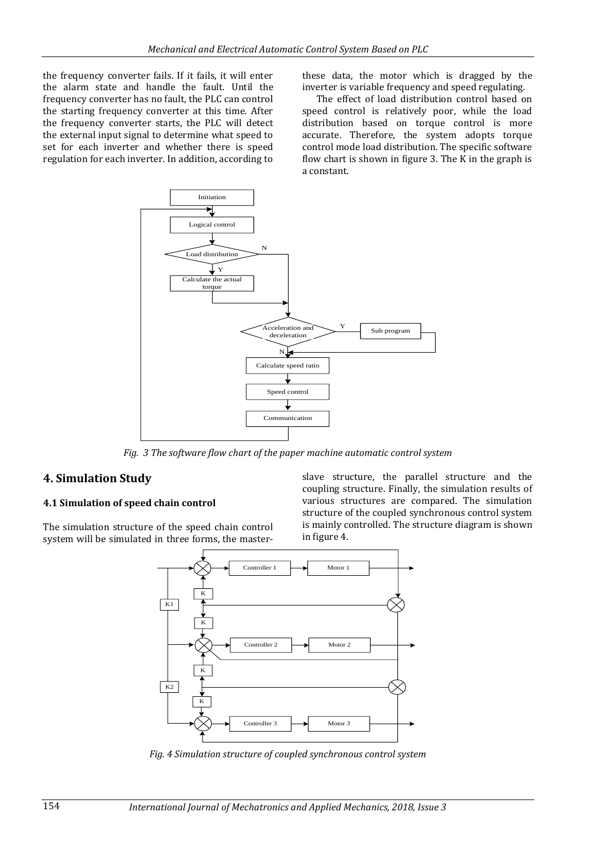the frequency converter fails. If it fails, it will enter the alarm state and handle the fault. Until the frequency converter has no fault, the PLC can control the starting frequency converter at this time. After the frequency converter starts, the PLC will detect the external input signal to determine what speed to set for each inverter and whether there is speed regulation for each inverter. In addition, according to

these data, the motor which is dragged by the inverter is variable frequency and speed regulating.

The effect of load distribution control based on speed control is relatively poor, while the load distribution based on torque control is more accurate. Therefore, the system adopts torque control mode load distribution. The specific software flow chart is shown in figure 3. The K in the graph is a constant.



*Fig. 3 The software flow chart of the paper machine automatic control system*

### **4. Simulation Study**

#### **4.1 Simulation of speed chain control**

The simulation structure of the speed chain control system will be simulated in three forms, the masterslave structure, the parallel structure and the coupling structure. Finally, the simulation results of various structures are compared. The simulation structure of the coupled synchronous control system is mainly controlled. The structure diagram is shown in figure 4.



*Fig. 4 Simulation structure of coupled synchronous control system*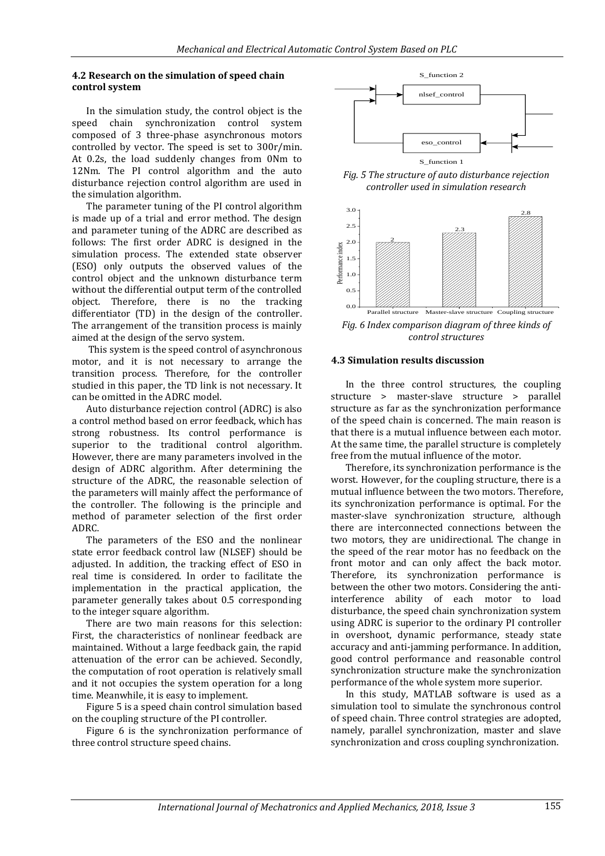#### **4.2 Research on the simulation of speed chain control system**

In the simulation study, the control object is the speed chain synchronization control system composed of 3 three-phase asynchronous motors controlled by vector. The speed is set to 300r/min. At 0.2s, the load suddenly changes from 0Nm to 12Nm. The PI control algorithm and the auto disturbance rejection control algorithm are used in the simulation algorithm.

The parameter tuning of the PI control algorithm is made up of a trial and error method. The design and parameter tuning of the ADRC are described as follows: The first order ADRC is designed in the simulation process. The extended state observer (ESO) only outputs the observed values of the control object and the unknown disturbance term without the differential output term of the controlled object. Therefore, there is no the tracking differentiator (TD) in the design of the controller. The arrangement of the transition process is mainly aimed at the design of the servo system.

This system is the speed control of asynchronous motor, and it is not necessary to arrange the transition process. Therefore, for the controller studied in this paper, the TD link is not necessary. It can be omitted in the ADRC model.

Auto disturbance rejection control (ADRC) is also a control method based on error feedback, which has strong robustness. Its control performance is superior to the traditional control algorithm. However, there are many parameters involved in the design of ADRC algorithm. After determining the structure of the ADRC, the reasonable selection of the parameters will mainly affect the performance of the controller. The following is the principle and method of parameter selection of the first order ADRC.

The parameters of the ESO and the nonlinear state error feedback control law (NLSEF) should be adjusted. In addition, the tracking effect of ESO in real time is considered. In order to facilitate the implementation in the practical application, the parameter generally takes about 0.5 corresponding to the integer square algorithm.

There are two main reasons for this selection: First, the characteristics of nonlinear feedback are maintained. Without a large feedback gain, the rapid attenuation of the error can be achieved. Secondly, the computation of root operation is relatively small and it not occupies the system operation for a long time. Meanwhile, it is easy to implement.

Figure 5 is a speed chain control simulation based on the coupling structure of the PI controller.

Figure 6 is the synchronization performance of three control structure speed chains.



*Fig. 5 The structure of auto disturbance rejection controller used in simulation research*



*Fig. 6 Index comparison diagram of three kinds of control structures*

#### **4.3 Simulation results discussion**

In the three control structures, the coupling structure > master-slave structure > parallel structure as far as the synchronization performance of the speed chain is concerned. The main reason is that there is a mutual influence between each motor. At the same time, the parallel structure is completely free from the mutual influence of the motor.

Therefore, its synchronization performance is the worst. However, for the coupling structure, there is a mutual influence between the two motors. Therefore, its synchronization performance is optimal. For the master-slave synchronization structure, although there are interconnected connections between the two motors, they are unidirectional. The change in the speed of the rear motor has no feedback on the front motor and can only affect the back motor. Therefore, its synchronization performance is between the other two motors. Considering the antiinterference ability of each motor to load disturbance, the speed chain synchronization system using ADRC is superior to the ordinary PI controller in overshoot, dynamic performance, steady state accuracy and anti-jamming performance. In addition, good control performance and reasonable control synchronization structure make the synchronization performance of the whole system more superior.

In this study, MATLAB software is used as a simulation tool to simulate the synchronous control of speed chain. Three control strategies are adopted, namely, parallel synchronization, master and slave synchronization and cross coupling synchronization.